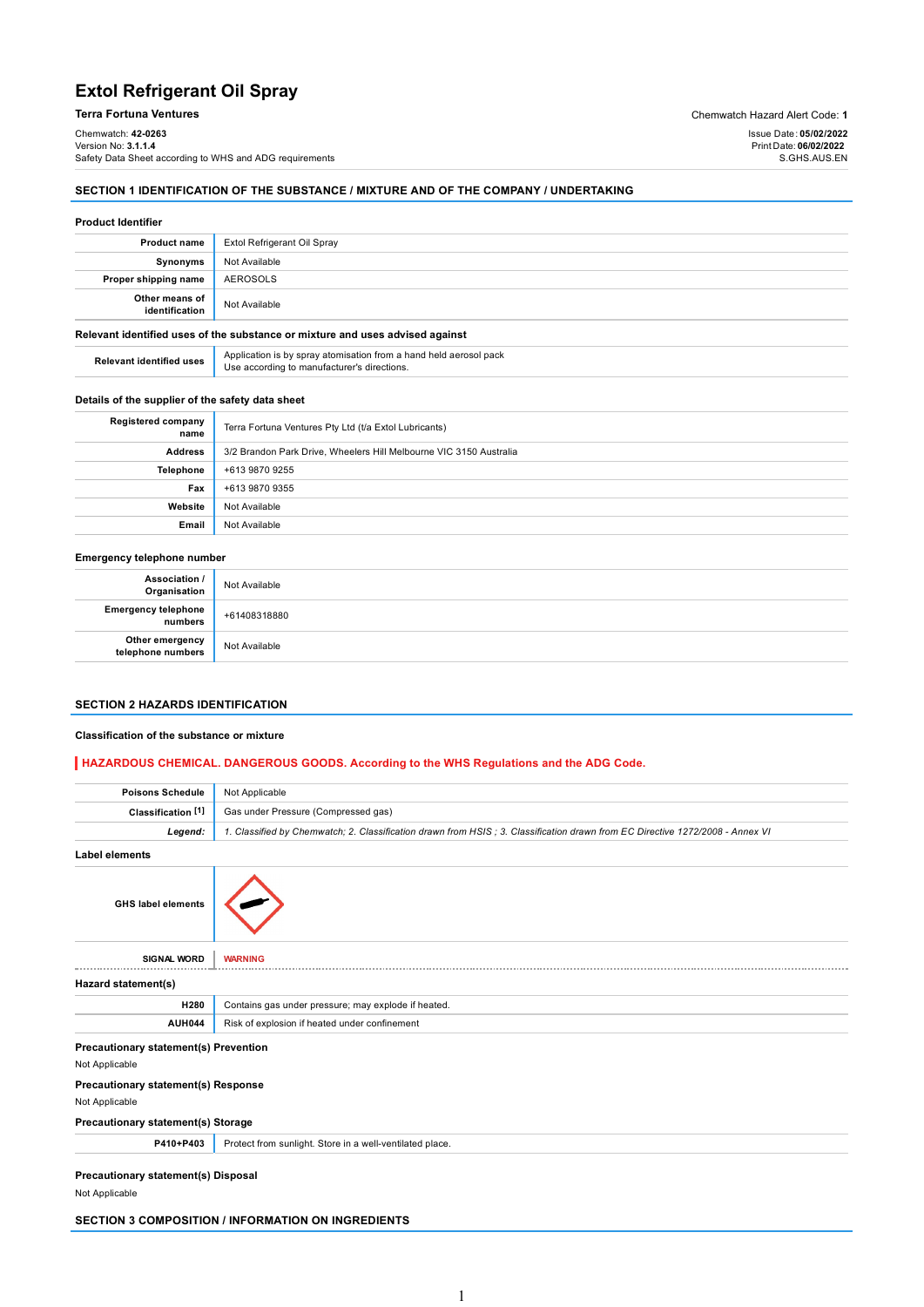# Extol Refrigerant Oil Spray

## Terra Fortuna Ventures Chemwatch Hazard Alert Code: 1

Chemwatch: 42-0263 Version No: 3.1.1.**4** Safety Data Sheet according to WHS and ADG requirements

## SECTION 1 IDENTIFICATION OF THE SUBSTANCE / MIXTURE AND OF THE COMPANY / UNDERTAKING

#### Product Identifier

| <b>Product name</b>              | Extol Refrigerant Oil Spray                                                   |
|----------------------------------|-------------------------------------------------------------------------------|
| Synonyms                         | Not Available                                                                 |
| Proper shipping name             | AEROSOLS                                                                      |
| Other means of<br>identification | Not Available                                                                 |
|                                  | Relevant identified uses of the substance or mixture and uses advised against |

| <b>Relevant identified uses</b> | Application is by spray atomisation from a hand held aerosol pack<br>Use according to manufacturer's directions. |  |  |  |
|---------------------------------|------------------------------------------------------------------------------------------------------------------|--|--|--|

### Details of the supplier of the safety data sheet

| <b>Registered company</b><br>name | Terra Fortuna Ventures Pty Ltd (t/a Extol Lubricants)              |  |  |  |
|-----------------------------------|--------------------------------------------------------------------|--|--|--|
| <b>Address</b>                    | 3/2 Brandon Park Drive, Wheelers Hill Melbourne VIC 3150 Australia |  |  |  |
| <b>Telephone</b>                  | +613 9870 9255                                                     |  |  |  |
| Fax                               | +613 9870 9355                                                     |  |  |  |
| Website                           | Not Available                                                      |  |  |  |
| Email                             | Not Available                                                      |  |  |  |
|                                   |                                                                    |  |  |  |

### Emergency telephone number

| Association /<br>Organisation         | Not Available |
|---------------------------------------|---------------|
| <b>Emergency telephone</b><br>numbers | +61408318880  |
| Other emergency<br>telephone numbers  | Not Available |

### SECTION 2 HAZARDS IDENTIFICATION

### Classification of the substance or mixture

### HAZARDOUS CHEMICAL. DANGEROUS GOODS. According to the WHS Regulations and the ADG Code.

| <b>Poisons Schedule</b>                                      | Not Applicable                                                                                                                |  |  |  |  |
|--------------------------------------------------------------|-------------------------------------------------------------------------------------------------------------------------------|--|--|--|--|
| Classification <sup>[1]</sup>                                | Gas under Pressure (Compressed gas)                                                                                           |  |  |  |  |
| Legend:                                                      | 1. Classified by Chemwatch; 2. Classification drawn from HSIS; 3. Classification drawn from EC Directive 1272/2008 - Annex VI |  |  |  |  |
| <b>Label elements</b>                                        |                                                                                                                               |  |  |  |  |
| <b>GHS label elements</b>                                    |                                                                                                                               |  |  |  |  |
| <b>SIGNAL WORD</b>                                           | <b>WARNING</b>                                                                                                                |  |  |  |  |
| Hazard statement(s)                                          |                                                                                                                               |  |  |  |  |
| H280                                                         | Contains gas under pressure; may explode if heated.                                                                           |  |  |  |  |
| <b>AUH044</b>                                                | Risk of explosion if heated under confinement                                                                                 |  |  |  |  |
| Precautionary statement(s) Prevention                        |                                                                                                                               |  |  |  |  |
| Not Applicable                                               |                                                                                                                               |  |  |  |  |
| Precautionary statement(s) Response<br>Not Applicable        |                                                                                                                               |  |  |  |  |
| <b>Precautionary statement(s) Storage</b>                    |                                                                                                                               |  |  |  |  |
| P410+P403                                                    | Protect from sunlight. Store in a well-ventilated place.                                                                      |  |  |  |  |
| <b>Precautionary statement(s) Disposal</b><br>Not Applicable |                                                                                                                               |  |  |  |  |

SECTION 3 COMPOSITION / INFORMATION ON INGREDIENTS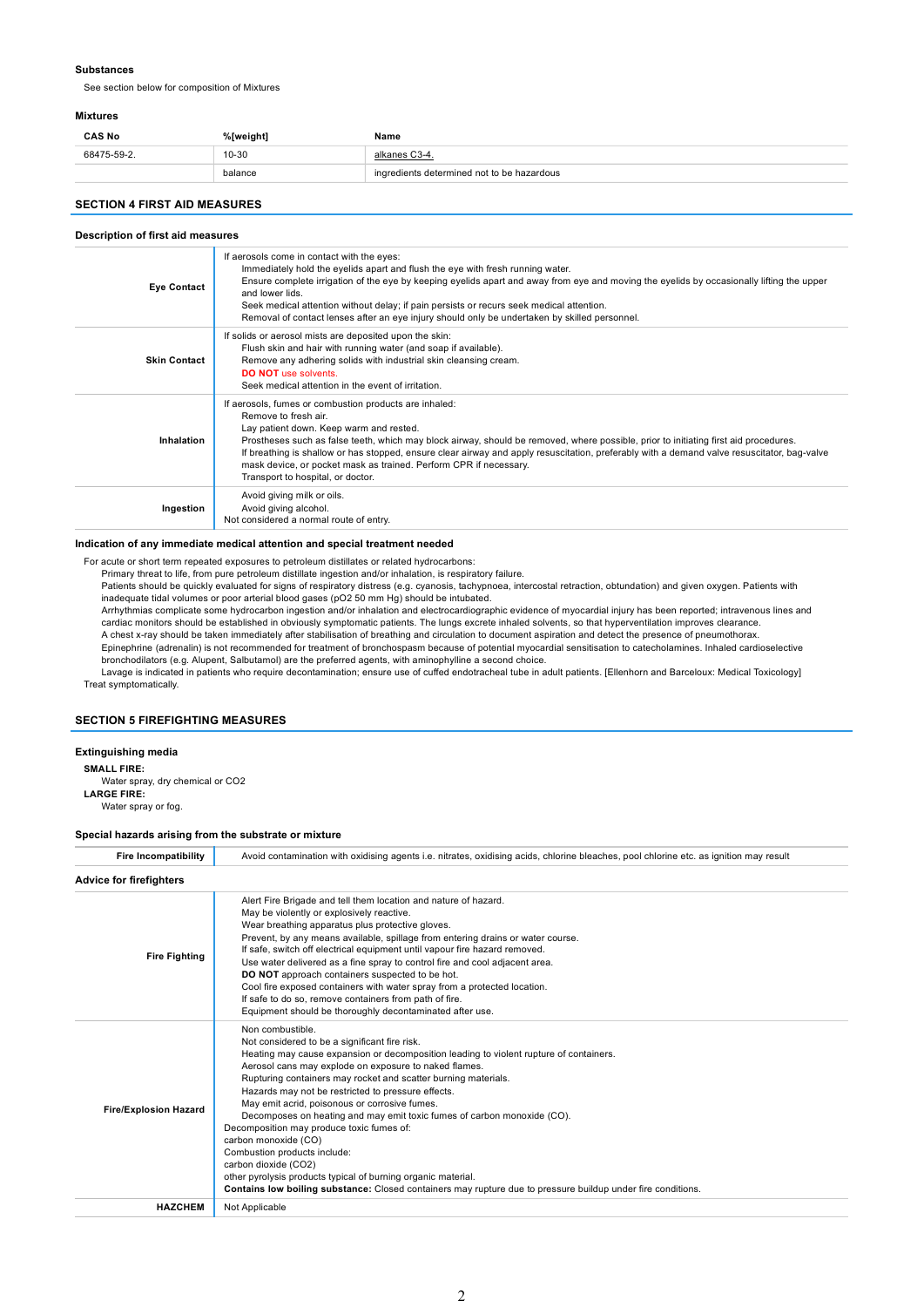#### Substances

See section below for composition of Mixtures

#### Mixtures

| <b>CAS No</b> | %[weight] | Name                                       |
|---------------|-----------|--------------------------------------------|
| 68475-59-2.   | 10-30     | alkanes C3-4.                              |
|               | balance   | ingredients determined not to be hazardous |

### SECTION 4 FIRST AID MEASURES

#### Description of first aid measures

| <b>Eye Contact</b>  | If aerosols come in contact with the eyes:<br>Immediately hold the eyelids apart and flush the eye with fresh running water.<br>Ensure complete irrigation of the eye by keeping eyelids apart and away from eye and moving the eyelids by occasionally lifting the upper<br>and lower lids.<br>Seek medical attention without delay; if pain persists or recurs seek medical attention.<br>Removal of contact lenses after an eye injury should only be undertaken by skilled personnel.                                  |
|---------------------|----------------------------------------------------------------------------------------------------------------------------------------------------------------------------------------------------------------------------------------------------------------------------------------------------------------------------------------------------------------------------------------------------------------------------------------------------------------------------------------------------------------------------|
| <b>Skin Contact</b> | If solids or aerosol mists are deposited upon the skin:<br>Flush skin and hair with running water (and soap if available).<br>Remove any adhering solids with industrial skin cleansing cream.<br><b>DO NOT</b> use solvents.<br>Seek medical attention in the event of irritation.                                                                                                                                                                                                                                        |
| Inhalation          | If aerosols, fumes or combustion products are inhaled:<br>Remove to fresh air.<br>Lay patient down. Keep warm and rested.<br>Prostheses such as false teeth, which may block airway, should be removed, where possible, prior to initiating first aid procedures.<br>If breathing is shallow or has stopped, ensure clear airway and apply resuscitation, preferably with a demand valve resuscitator, bag-valve<br>mask device, or pocket mask as trained. Perform CPR if necessary.<br>Transport to hospital, or doctor. |
| Ingestion           | Avoid giving milk or oils.<br>Avoid giving alcohol.<br>Not considered a normal route of entry.                                                                                                                                                                                                                                                                                                                                                                                                                             |

#### Indication of any immediate medical attention and special treatment needed

For acute or short term repeated exposures to petroleum distillates or related hydrocarbons:

Primary threat to life, from pure petroleum distillate ingestion and/or inhalation, is respiratory failure.

Patients should be quickly evaluated for signs of respiratory distress (e.g. cyanosis, tachypnoea, intercostal retraction, obtundation) and given oxygen. Patients with inadequate tidal volumes or poor arterial blood gases (pO2 50 mm Hg) should be intubated.

Arrhythmias complicate some hydrocarbon ingestion and/or inhalation and electrocardiographic evidence of myocardial injury has been reported; intravenous lines and cardiac monitors should be established in obviously symptomatic patients. The lungs excrete inhaled solvents, so that hyperventilation improves clearance. A chest x-ray should be taken immediately after stabilisation of breathing and circulation to document aspiration and detect the presence of pneumothorax.

Epinephrine (adrenalin) is not recommended for treatment of bronchospasm because of potential myocardial sensitisation to catecholamines. Inhaled cardioselective

bronchodilators (e.g. Alupent, Salbutamol) are the preferred agents, with aminophylline a second choice.<br>Lavage is indicated in patients who require decontamination; ensure use of cuffed endotracheal tube in adult patients Treat symptomatically.

## SECTION 5 FIREFIGHTING MEASURES

## Extinguishing media

SMALL FIRE:

Water spray, dry chemical or CO2 LARGE FIRE:

Water spray or fog.

#### Special hazards arising from the substrate or mixture

| <b>Fire Incompatibility</b>    | Avoid contamination with oxidising agents i.e. nitrates, oxidising acids, chlorine bleaches, pool chlorine etc. as ignition may result                                                                                                                                                                                                                                                                                                                                                                                                                                                                                                                                                                                                                                                 |  |  |  |  |
|--------------------------------|----------------------------------------------------------------------------------------------------------------------------------------------------------------------------------------------------------------------------------------------------------------------------------------------------------------------------------------------------------------------------------------------------------------------------------------------------------------------------------------------------------------------------------------------------------------------------------------------------------------------------------------------------------------------------------------------------------------------------------------------------------------------------------------|--|--|--|--|
| <b>Advice for firefighters</b> |                                                                                                                                                                                                                                                                                                                                                                                                                                                                                                                                                                                                                                                                                                                                                                                        |  |  |  |  |
| <b>Fire Fighting</b>           | Alert Fire Brigade and tell them location and nature of hazard.<br>May be violently or explosively reactive.<br>Wear breathing apparatus plus protective gloves.<br>Prevent, by any means available, spillage from entering drains or water course.<br>If safe, switch off electrical equipment until vapour fire hazard removed.<br>Use water delivered as a fine spray to control fire and cool adjacent area.<br>DO NOT approach containers suspected to be hot.<br>Cool fire exposed containers with water spray from a protected location.<br>If safe to do so, remove containers from path of fire.<br>Equipment should be thoroughly decontaminated after use.                                                                                                                  |  |  |  |  |
| <b>Fire/Explosion Hazard</b>   | Non combustible.<br>Not considered to be a significant fire risk.<br>Heating may cause expansion or decomposition leading to violent rupture of containers.<br>Aerosol cans may explode on exposure to naked flames.<br>Rupturing containers may rocket and scatter burning materials.<br>Hazards may not be restricted to pressure effects.<br>May emit acrid, poisonous or corrosive fumes.<br>Decomposes on heating and may emit toxic fumes of carbon monoxide (CO).<br>Decomposition may produce toxic fumes of:<br>carbon monoxide (CO)<br>Combustion products include:<br>carbon dioxide (CO2)<br>other pyrolysis products typical of burning organic material.<br>Contains low boiling substance: Closed containers may rupture due to pressure buildup under fire conditions. |  |  |  |  |
| <b>HAZCHEM</b>                 | Not Applicable                                                                                                                                                                                                                                                                                                                                                                                                                                                                                                                                                                                                                                                                                                                                                                         |  |  |  |  |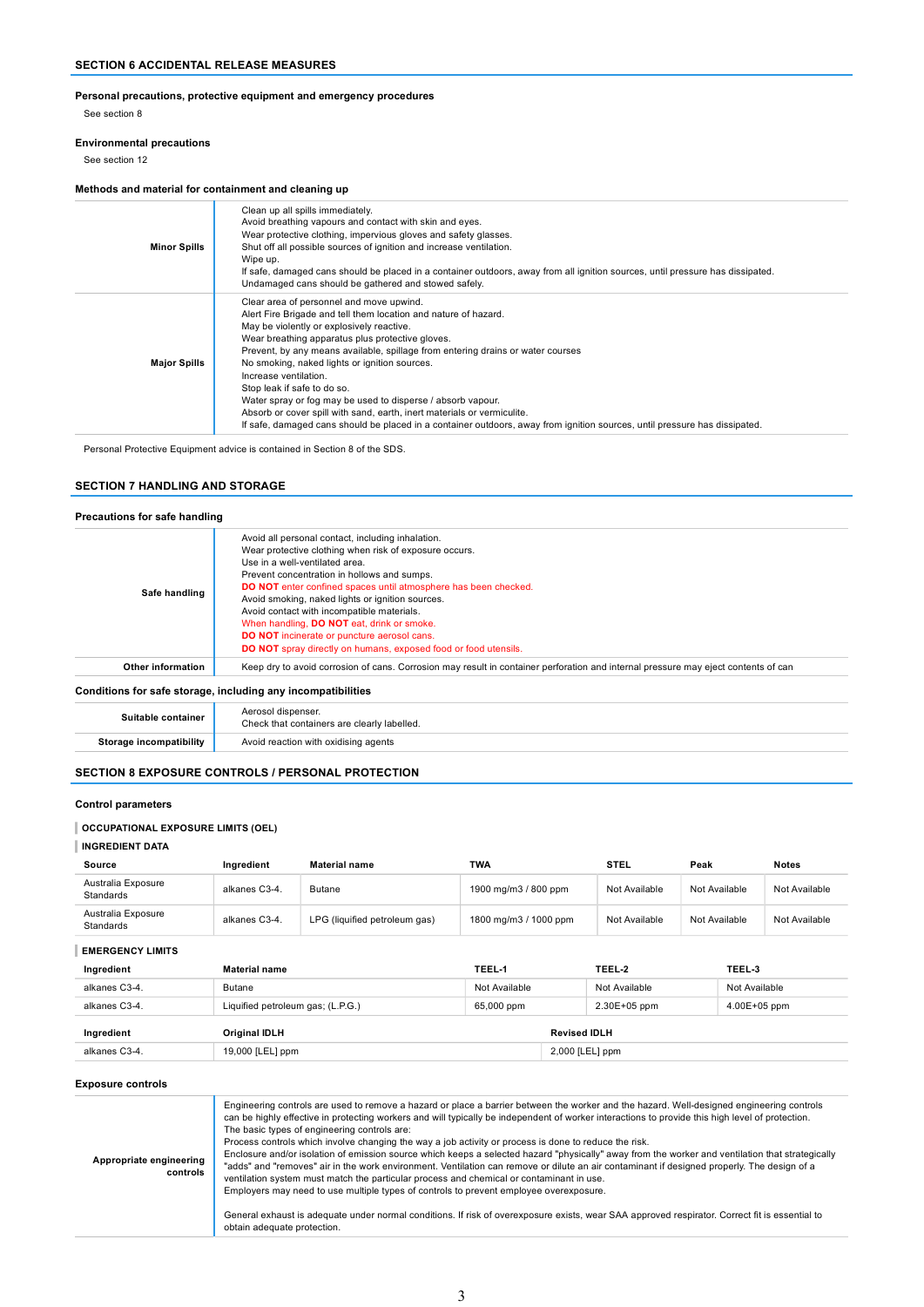## Personal precautions, protective equipment and emergency procedures

See section 8

### Environmental precautions

See section 12

## Methods and material for containment and cleaning up

| <b>Minor Spills</b> | Clean up all spills immediately.<br>Avoid breathing vapours and contact with skin and eyes.<br>Wear protective clothing, impervious gloves and safety glasses.<br>Shut off all possible sources of ignition and increase ventilation.<br>Wipe up.<br>If safe, damaged cans should be placed in a container outdoors, away from all ignition sources, until pressure has dissipated.<br>Undamaged cans should be gathered and stowed safely.                                                                                                                                                                                                                                      |
|---------------------|----------------------------------------------------------------------------------------------------------------------------------------------------------------------------------------------------------------------------------------------------------------------------------------------------------------------------------------------------------------------------------------------------------------------------------------------------------------------------------------------------------------------------------------------------------------------------------------------------------------------------------------------------------------------------------|
| <b>Major Spills</b> | Clear area of personnel and move upwind.<br>Alert Fire Brigade and tell them location and nature of hazard.<br>May be violently or explosively reactive.<br>Wear breathing apparatus plus protective gloves.<br>Prevent, by any means available, spillage from entering drains or water courses<br>No smoking, naked lights or ignition sources.<br>Increase ventilation.<br>Stop leak if safe to do so.<br>Water spray or fog may be used to disperse / absorb vapour.<br>Absorb or cover spill with sand, earth, inert materials or vermiculite.<br>If safe, damaged cans should be placed in a container outdoors, away from ignition sources, until pressure has dissipated. |

Personal Protective Equipment advice is contained in Section 8 of the SDS.

### SECTION 7 HANDLING AND STORAGE

| Safe handling     | Avoid all personal contact, including inhalation.<br>Wear protective clothing when risk of exposure occurs.<br>Use in a well-ventilated area.<br>Prevent concentration in hollows and sumps.<br><b>DO NOT</b> enter confined spaces until atmosphere has been checked.<br>Avoid smoking, naked lights or ignition sources.<br>Avoid contact with incompatible materials.<br>When handling, DO NOT eat, drink or smoke.<br><b>DO NOT</b> incinerate or puncture aerosol cans.<br><b>DO NOT</b> spray directly on humans, exposed food or food utensils. |
|-------------------|--------------------------------------------------------------------------------------------------------------------------------------------------------------------------------------------------------------------------------------------------------------------------------------------------------------------------------------------------------------------------------------------------------------------------------------------------------------------------------------------------------------------------------------------------------|
| Other information | Keep dry to avoid corrosion of cans. Corrosion may result in container perforation and internal pressure may eject contents of can                                                                                                                                                                                                                                                                                                                                                                                                                     |

| Suitable container | Aerosol dispenser.<br>Check that containers are clearly labelled. |  |  |
|--------------------|-------------------------------------------------------------------|--|--|
| ıtibilitv          | Avoid reaction with oxidising agents                              |  |  |

## SECTION 8 EXPOSURE CONTROLS / PERSONAL PROTECTION

### Control parameters

### OCCUPATIONAL EXPOSURE LIMITS (OEL)

### INGREDIENT DATA

| Source                          | Ingredient    | <b>Material name</b>          | TWA                   | <b>STEL</b>   | Peak          | <b>Notes</b>  |
|---------------------------------|---------------|-------------------------------|-----------------------|---------------|---------------|---------------|
| Australia Exposure<br>Standards | alkanes C3-4. | <b>Butane</b>                 | 1900 mg/m3 / 800 ppm  | Not Available | Not Available | Not Available |
| Australia Exposure<br>Standards | alkanes C3-4. | LPG (liquified petroleum gas) | 1800 mg/m3 / 1000 ppm | Not Available | Not Available | Not Available |

### EMERGENCY LIMITS

| Ingredient    | <b>Material name</b>              | TEEL 1        | TEEL 2              | TEEL 3        |
|---------------|-----------------------------------|---------------|---------------------|---------------|
| alkanes C3-4. | <b>Butane</b>                     | Not Available | Not Available       | Not Available |
| alkanes C3-4. | Liquified petroleum gas; (L.P.G.) | 65,000 ppm    | 2.30E+05 ppm        | 4.00E+05 ppm  |
| Ingredient    | Original IDLH                     |               | <b>Revised IDLH</b> |               |
| alkanes C3-4. | 19,000 [LEL] ppm                  |               | 2,000 [LEL] ppm     |               |

#### Exposure controls

| Appropriate engineering<br>controls | Engineering controls are used to remove a hazard or place a barrier between the worker and the hazard. Well-designed engineering controls<br>can be highly effective in protecting workers and will typically be independent of worker interactions to provide this high level of protection.<br>The basic types of engineering controls are:<br>Process controls which involve changing the way a job activity or process is done to reduce the risk.<br>Enclosure and/or isolation of emission source which keeps a selected hazard "physically" away from the worker and ventilation that strategically<br>"adds" and "removes" air in the work environment. Ventilation can remove or dilute an air contaminant if designed properly. The design of a<br>ventilation system must match the particular process and chemical or contaminant in use.<br>Employers may need to use multiple types of controls to prevent employee overexposure.<br>General exhaust is adequate under normal conditions. If risk of overexposure exists, wear SAA approved respirator. Correct fit is essential to<br>obtain adequate protection. |
|-------------------------------------|----------------------------------------------------------------------------------------------------------------------------------------------------------------------------------------------------------------------------------------------------------------------------------------------------------------------------------------------------------------------------------------------------------------------------------------------------------------------------------------------------------------------------------------------------------------------------------------------------------------------------------------------------------------------------------------------------------------------------------------------------------------------------------------------------------------------------------------------------------------------------------------------------------------------------------------------------------------------------------------------------------------------------------------------------------------------------------------------------------------------------------|
|-------------------------------------|----------------------------------------------------------------------------------------------------------------------------------------------------------------------------------------------------------------------------------------------------------------------------------------------------------------------------------------------------------------------------------------------------------------------------------------------------------------------------------------------------------------------------------------------------------------------------------------------------------------------------------------------------------------------------------------------------------------------------------------------------------------------------------------------------------------------------------------------------------------------------------------------------------------------------------------------------------------------------------------------------------------------------------------------------------------------------------------------------------------------------------|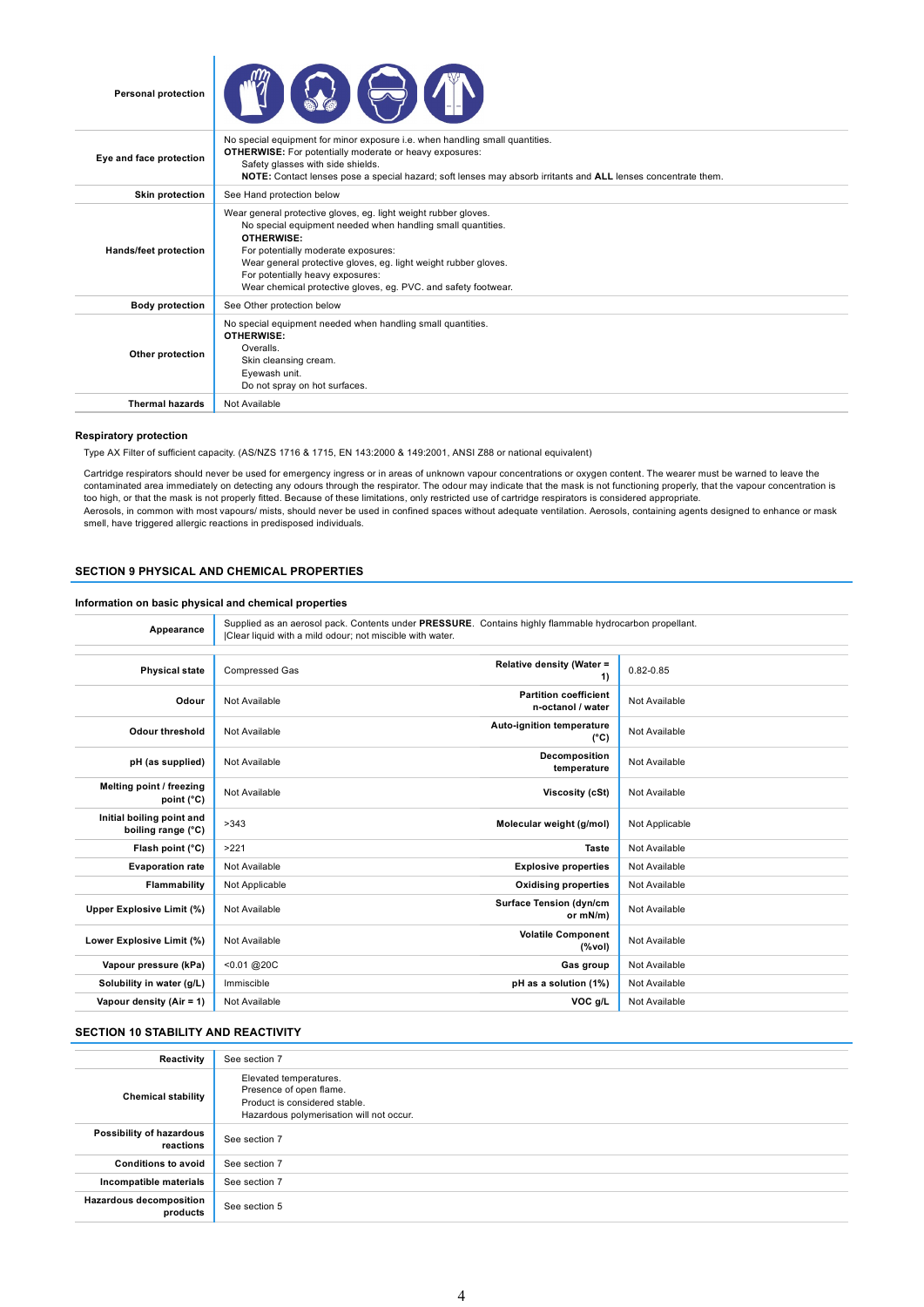



| Eye and face protection | No special equipment for minor exposure i.e. when handling small quantities.<br><b>OTHERWISE:</b> For potentially moderate or heavy exposures:<br>Safety glasses with side shields.<br><b>NOTE:</b> Contact lenses pose a special hazard; soft lenses may absorb irritants and <b>ALL</b> lenses concentrate them.                                                  |
|-------------------------|---------------------------------------------------------------------------------------------------------------------------------------------------------------------------------------------------------------------------------------------------------------------------------------------------------------------------------------------------------------------|
| <b>Skin protection</b>  | See Hand protection below                                                                                                                                                                                                                                                                                                                                           |
| Hands/feet protection   | Wear general protective gloves, eg. light weight rubber gloves.<br>No special equipment needed when handling small quantities.<br><b>OTHERWISE:</b><br>For potentially moderate exposures:<br>Wear general protective gloves, eg. light weight rubber gloves.<br>For potentially heavy exposures:<br>Wear chemical protective gloves, eg. PVC. and safety footwear. |
| <b>Body protection</b>  | See Other protection below                                                                                                                                                                                                                                                                                                                                          |
| Other protection        | No special equipment needed when handling small quantities.<br><b>OTHERWISE:</b><br>Overalls.<br>Skin cleansing cream.<br>Eyewash unit.<br>Do not spray on hot surfaces.                                                                                                                                                                                            |
| <b>Thermal hazards</b>  | Not Available                                                                                                                                                                                                                                                                                                                                                       |

#### Respiratory protection

Type AX Filter of sufficient capacity. (AS/NZS 1716 & 1715, EN 143:2000 & 149:2001, ANSI Z88 or national equivalent)

Cartridge respirators should never be used for emergency ingress or in areas of unknown vapour concentrations or oxygen content. The wearer must be warned to leave the contaminated area immediately on detecting any odours through the respirator. The odour may indicate that the mask is not functioning properly, that the vapour concentration is too high, or that the mask is not properly fitted. Because of these limitations, only restricted use of cartridge respirators is considered appropriate. Aerosols, in common with most vapours/ mists, should never be used in confined spaces without adequate ventilation. Aerosols, containing agents designed to enhance or mask smell, have triggered allergic reactions in predisposed individuals.

### SECTION 9 PHYSICAL AND CHEMICAL PROPERTIES

## Information on basic physical and chemical properties

| Appearance                                      | Supplied as an aerosol pack. Contents under PRESSURE. Contains highly flammable hydrocarbon propellant.<br>Clear liquid with a mild odour; not miscible with water. |                                                   |                |
|-------------------------------------------------|---------------------------------------------------------------------------------------------------------------------------------------------------------------------|---------------------------------------------------|----------------|
| <b>Physical state</b>                           | <b>Compressed Gas</b>                                                                                                                                               | Relative density (Water =<br>1)                   | $0.82 - 0.85$  |
| Odour                                           | Not Available                                                                                                                                                       | <b>Partition coefficient</b><br>n-octanol / water | Not Available  |
| Odour threshold                                 | Not Available                                                                                                                                                       | Auto-ignition temperature<br>$(^{\circ}C)$        | Not Available  |
| pH (as supplied)                                | Not Available                                                                                                                                                       | Decomposition<br>temperature                      | Not Available  |
| Melting point / freezing<br>point (°C)          | Not Available                                                                                                                                                       | Viscosity (cSt)                                   | Not Available  |
| Initial boiling point and<br>boiling range (°C) | >343                                                                                                                                                                | Molecular weight (g/mol)                          | Not Applicable |
| Flash point (°C)                                | >221                                                                                                                                                                | <b>Taste</b>                                      | Not Available  |
| <b>Evaporation rate</b>                         | Not Available                                                                                                                                                       | <b>Explosive properties</b>                       | Not Available  |
| Flammability                                    | Not Applicable                                                                                                                                                      | <b>Oxidising properties</b>                       | Not Available  |
| Upper Explosive Limit (%)                       | Not Available                                                                                                                                                       | <b>Surface Tension (dyn/cm</b><br>or mN/m)        | Not Available  |
| Lower Explosive Limit (%)                       | Not Available                                                                                                                                                       | <b>Volatile Component</b><br>$(\%$ vol)           | Not Available  |
| Vapour pressure (kPa)                           | $< 0.01$ @ 20C                                                                                                                                                      | Gas group                                         | Not Available  |
| Solubility in water (g/L)                       | Immiscible                                                                                                                                                          | pH as a solution (1%)                             | Not Available  |
| Vapour density (Air = 1)                        | Not Available                                                                                                                                                       | VOC g/L                                           | Not Available  |

### SECTION 10 STABILITY AND REACTIVITY

| Reactivity                                 | See section 7                                                                                                                  |
|--------------------------------------------|--------------------------------------------------------------------------------------------------------------------------------|
| <b>Chemical stability</b>                  | Elevated temperatures.<br>Presence of open flame.<br>Product is considered stable.<br>Hazardous polymerisation will not occur. |
| Possibility of hazardous<br>reactions      | See section 7                                                                                                                  |
| <b>Conditions to avoid</b>                 | See section 7                                                                                                                  |
| Incompatible materials                     | See section 7                                                                                                                  |
| <b>Hazardous decomposition</b><br>products | See section 5                                                                                                                  |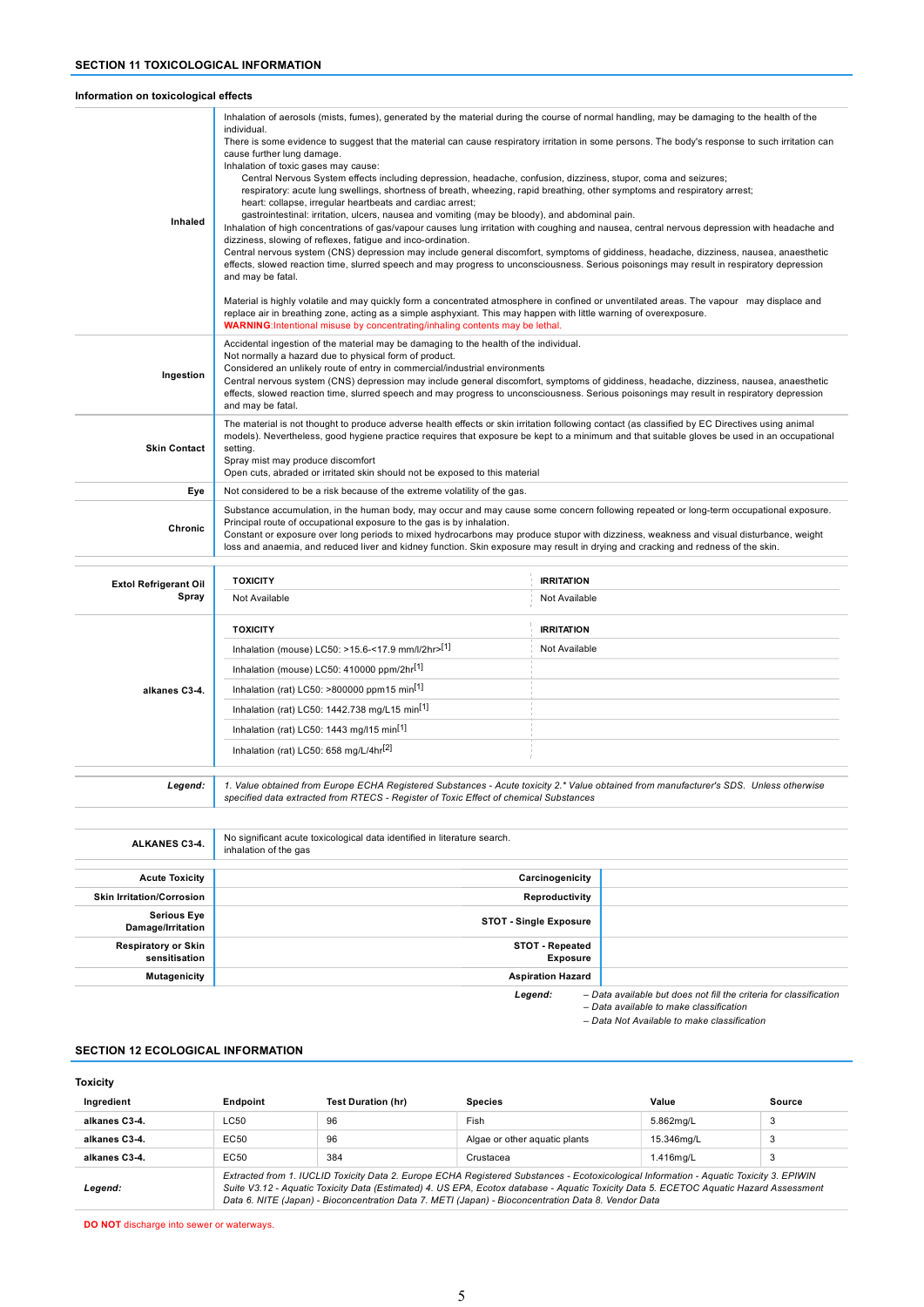### Information on toxicological effects

| Inhaled                               | individual.<br>There is some evidence to suggest that the material can cause respiratory irritation in some persons. The body's response to such irritation can<br>cause further lung damage.<br>Inhalation of toxic gases may cause:<br>Central Nervous System effects including depression, headache, confusion, dizziness, stupor, coma and seizures;<br>respiratory: acute lung swellings, shortness of breath, wheezing, rapid breathing, other symptoms and respiratory arrest;<br>heart: collapse, irregular heartbeats and cardiac arrest;<br>gastrointestinal: irritation, ulcers, nausea and vomiting (may be bloody), and abdominal pain.<br>Inhalation of high concentrations of gas/vapour causes lung irritation with coughing and nausea, central nervous depression with headache and<br>dizziness, slowing of reflexes, fatigue and inco-ordination.<br>Central nervous system (CNS) depression may include general discomfort, symptoms of giddiness, headache, dizziness, nausea, anaesthetic<br>effects, slowed reaction time, slurred speech and may progress to unconsciousness. Serious poisonings may result in respiratory depression<br>and may be fatal.<br>Material is highly volatile and may quickly form a concentrated atmosphere in confined or unventilated areas. The vapour may displace and<br>replace air in breathing zone, acting as a simple asphyxiant. This may happen with little warning of overexposure.<br><b>WARNING:</b> Intentional misuse by concentrating/inhaling contents may be lethal.<br>Accidental ingestion of the material may be damaging to the health of the individual. |                                    |  |
|---------------------------------------|-----------------------------------------------------------------------------------------------------------------------------------------------------------------------------------------------------------------------------------------------------------------------------------------------------------------------------------------------------------------------------------------------------------------------------------------------------------------------------------------------------------------------------------------------------------------------------------------------------------------------------------------------------------------------------------------------------------------------------------------------------------------------------------------------------------------------------------------------------------------------------------------------------------------------------------------------------------------------------------------------------------------------------------------------------------------------------------------------------------------------------------------------------------------------------------------------------------------------------------------------------------------------------------------------------------------------------------------------------------------------------------------------------------------------------------------------------------------------------------------------------------------------------------------------------------------------------------------------------------------------------------------|------------------------------------|--|
| Ingestion                             | Not normally a hazard due to physical form of product.<br>Considered an unlikely route of entry in commercial/industrial environments<br>Central nervous system (CNS) depression may include general discomfort, symptoms of giddiness, headache, dizziness, nausea, anaesthetic<br>effects, slowed reaction time, slurred speech and may progress to unconsciousness. Serious poisonings may result in respiratory depression<br>and may be fatal.                                                                                                                                                                                                                                                                                                                                                                                                                                                                                                                                                                                                                                                                                                                                                                                                                                                                                                                                                                                                                                                                                                                                                                                     |                                    |  |
| <b>Skin Contact</b>                   | The material is not thought to produce adverse health effects or skin irritation following contact (as classified by EC Directives using animal<br>models). Nevertheless, good hygiene practice requires that exposure be kept to a minimum and that suitable gloves be used in an occupational<br>setting.<br>Spray mist may produce discomfort<br>Open cuts, abraded or irritated skin should not be exposed to this material                                                                                                                                                                                                                                                                                                                                                                                                                                                                                                                                                                                                                                                                                                                                                                                                                                                                                                                                                                                                                                                                                                                                                                                                         |                                    |  |
| Eve                                   | Not considered to be a risk because of the extreme volatility of the gas.                                                                                                                                                                                                                                                                                                                                                                                                                                                                                                                                                                                                                                                                                                                                                                                                                                                                                                                                                                                                                                                                                                                                                                                                                                                                                                                                                                                                                                                                                                                                                               |                                    |  |
| Chronic                               | Substance accumulation, in the human body, may occur and may cause some concern following repeated or long-term occupational exposure.<br>Principal route of occupational exposure to the gas is by inhalation.<br>Constant or exposure over long periods to mixed hydrocarbons may produce stupor with dizziness, weakness and visual disturbance, weight<br>loss and anaemia, and reduced liver and kidney function. Skin exposure may result in drying and cracking and redness of the skin.                                                                                                                                                                                                                                                                                                                                                                                                                                                                                                                                                                                                                                                                                                                                                                                                                                                                                                                                                                                                                                                                                                                                         |                                    |  |
|                                       |                                                                                                                                                                                                                                                                                                                                                                                                                                                                                                                                                                                                                                                                                                                                                                                                                                                                                                                                                                                                                                                                                                                                                                                                                                                                                                                                                                                                                                                                                                                                                                                                                                         |                                    |  |
| <b>Extol Refrigerant Oil</b><br>Spray | <b>TOXICITY</b><br>Not Available                                                                                                                                                                                                                                                                                                                                                                                                                                                                                                                                                                                                                                                                                                                                                                                                                                                                                                                                                                                                                                                                                                                                                                                                                                                                                                                                                                                                                                                                                                                                                                                                        | <b>IRRITATION</b><br>Not Available |  |
|                                       |                                                                                                                                                                                                                                                                                                                                                                                                                                                                                                                                                                                                                                                                                                                                                                                                                                                                                                                                                                                                                                                                                                                                                                                                                                                                                                                                                                                                                                                                                                                                                                                                                                         |                                    |  |

| opray         | Not Available                                                                                                                                                                                                                   | Not Available     |
|---------------|---------------------------------------------------------------------------------------------------------------------------------------------------------------------------------------------------------------------------------|-------------------|
|               | <b>TOXICITY</b>                                                                                                                                                                                                                 | <b>IRRITATION</b> |
|               | Inhalation (mouse) LC50: >15.6-<17.9 mm/l/2hr>[1]                                                                                                                                                                               | Not Available     |
|               | Inhalation (mouse) LC50: 410000 ppm/2hr <sup>[1]</sup>                                                                                                                                                                          |                   |
| alkanes C3-4. | Inhalation (rat) LC50: >800000 ppm15 min <sup>[1]</sup>                                                                                                                                                                         |                   |
|               | Inhalation (rat) LC50: 1442.738 mg/L15 min <sup>[1]</sup>                                                                                                                                                                       |                   |
|               | Inhalation (rat) LC50: 1443 mg/l15 min <sup>[1]</sup>                                                                                                                                                                           |                   |
|               | Inhalation (rat) LC50: 658 mg/L/4hr <sup>[2]</sup>                                                                                                                                                                              |                   |
|               |                                                                                                                                                                                                                                 |                   |
| Legend:       | 1. Value obtained from Europe ECHA Registered Substances - Acute toxicity 2.* Value obtained from manufacturer's SDS. Unless otherwise<br>specified data extracted from RTECS - Register of Toxic Effect of chemical Substances |                   |

| ALKANES C3-4.                               | No significant acute toxicological data identified in literature search.<br>inhalation of the gas |                                                                    |
|---------------------------------------------|---------------------------------------------------------------------------------------------------|--------------------------------------------------------------------|
| <b>Acute Toxicity</b>                       | Carcinogenicity                                                                                   |                                                                    |
| <b>Skin Irritation/Corrosion</b>            | Reproductivity                                                                                    |                                                                    |
| <b>Serious Eye</b><br>Damage/Irritation     | <b>STOT - Single Exposure</b>                                                                     |                                                                    |
| <b>Respiratory or Skin</b><br>sensitisation | STOT - Repeated<br><b>Exposure</b>                                                                |                                                                    |
| <b>Mutagenicity</b>                         | <b>Aspiration Hazard</b>                                                                          |                                                                    |
|                                             | Legend:                                                                                           | - Data available but does not fill the criteria for classification |

– Data available to make classification

– Data Not Available to make classification

### SECTION 12 ECOLOGICAL INFORMATION

| <b>Toxicity</b> |                 |                                                                                                                                                                                                                                                                                                                                                                                          |                               |            |        |
|-----------------|-----------------|------------------------------------------------------------------------------------------------------------------------------------------------------------------------------------------------------------------------------------------------------------------------------------------------------------------------------------------------------------------------------------------|-------------------------------|------------|--------|
| Ingredient      | <b>Endpoint</b> | <b>Test Duration (hr)</b>                                                                                                                                                                                                                                                                                                                                                                | <b>Species</b>                | Value      | Source |
| alkanes C3-4.   | LC50            | 96                                                                                                                                                                                                                                                                                                                                                                                       | Fish                          | 5.862ma/L  | 3      |
| alkanes C3-4.   | EC50            | 96                                                                                                                                                                                                                                                                                                                                                                                       | Algae or other aguatic plants | 15.346ma/L | 3      |
| alkanes C3-4.   | EC50            | 384                                                                                                                                                                                                                                                                                                                                                                                      | Crustacea                     | 1.416mg/L  | 3      |
| Legend:         |                 | Extracted from 1. IUCLID Toxicity Data 2. Europe ECHA Registered Substances - Ecotoxicological Information - Aquatic Toxicity 3. EPIWIN<br>Suite V3.12 - Aquatic Toxicity Data (Estimated) 4. US EPA, Ecotox database - Aquatic Toxicity Data 5. ECETOC Aquatic Hazard Assessment<br>Data 6. NITE (Japan) - Bioconcentration Data 7. METI (Japan) - Bioconcentration Data 8. Vendor Data |                               |            |        |

DO NOT discharge into sewer or waterways.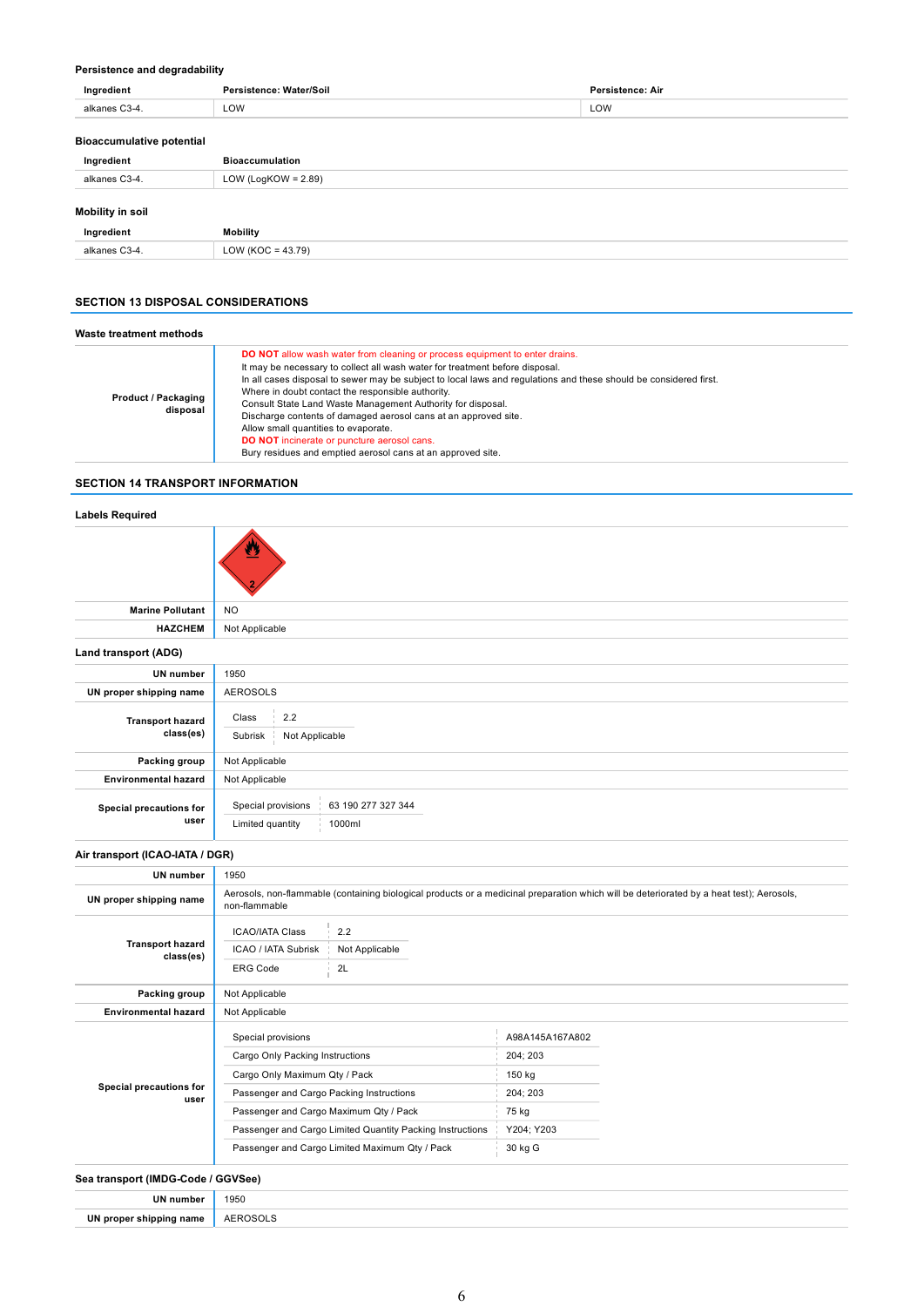### Persistence and degradability

| Ingredient                       | Persistence: Water/Soil | Persistence: Air |  |
|----------------------------------|-------------------------|------------------|--|
| alkanes C3-4.                    | LOW                     | LOW              |  |
| <b>Bioaccumulative potential</b> |                         |                  |  |
| Ingredient                       | <b>Bioaccumulation</b>  |                  |  |
|                                  | LOW (LogKOW = $2.89$ )  |                  |  |
| alkanes C3-4.                    |                         |                  |  |

|                                                                                                                 | Mobility.               |
|-----------------------------------------------------------------------------------------------------------------|-------------------------|
| the contract of the contract of the contract of the contract of the contract of the contract of the contract of | $\sim$<br>$\sim$ $\sim$ |

## SECTION 13 DISPOSAL CONSIDERATIONS

| Waste treatment methods                |                                                                                                                                                                                                                                                                                                                                                                                                                                                                                                                                                                                                                                             |
|----------------------------------------|---------------------------------------------------------------------------------------------------------------------------------------------------------------------------------------------------------------------------------------------------------------------------------------------------------------------------------------------------------------------------------------------------------------------------------------------------------------------------------------------------------------------------------------------------------------------------------------------------------------------------------------------|
| <b>Product / Packaging</b><br>disposal | <b>DO NOT</b> allow wash water from cleaning or process equipment to enter drains.<br>It may be necessary to collect all wash water for treatment before disposal.<br>In all cases disposal to sewer may be subject to local laws and regulations and these should be considered first.<br>Where in doubt contact the responsible authority.<br>Consult State Land Waste Management Authority for disposal.<br>Discharge contents of damaged aerosol cans at an approved site.<br>Allow small quantities to evaporate.<br><b>DO NOT</b> incinerate or puncture aerosol cans.<br>Bury residues and emptied aerosol cans at an approved site. |

## SECTION 14 TRANSPORT INFORMATION

### Labels Required

|                                      | Ø                                                                      |  |
|--------------------------------------|------------------------------------------------------------------------|--|
| <b>Marine Pollutant</b>              | <b>NO</b>                                                              |  |
| <b>HAZCHEM</b>                       | Not Applicable                                                         |  |
| Land transport (ADG)                 |                                                                        |  |
| <b>UN number</b>                     | 1950                                                                   |  |
| UN proper shipping name              | <b>AEROSOLS</b>                                                        |  |
| <b>Transport hazard</b><br>class(es) | 2.2<br>Class<br>Subrisk<br>Not Applicable                              |  |
| Packing group                        | Not Applicable                                                         |  |
| <b>Environmental hazard</b>          | Not Applicable                                                         |  |
| Special precautions for<br>user      | 63 190 277 327 344<br>Special provisions<br>1000ml<br>Limited quantity |  |

### Air transport (ICAO-IATA / DGR)

| <b>UN</b> number                     | 1950                                                      |                |                 |                                                                                                                                          |
|--------------------------------------|-----------------------------------------------------------|----------------|-----------------|------------------------------------------------------------------------------------------------------------------------------------------|
| UN proper shipping name              | non-flammable                                             |                |                 | Aerosols, non-flammable (containing biological products or a medicinal preparation which will be deteriorated by a heat test); Aerosols, |
| <b>Transport hazard</b><br>class(es) | <b>ICAO/IATA Class</b><br>ICAO / IATA Subrisk             | 2.2            |                 |                                                                                                                                          |
|                                      |                                                           | Not Applicable |                 |                                                                                                                                          |
|                                      | <b>ERG Code</b>                                           | 2L             |                 |                                                                                                                                          |
| Packing group                        | Not Applicable                                            |                |                 |                                                                                                                                          |
| <b>Environmental hazard</b>          | Not Applicable                                            |                |                 |                                                                                                                                          |
| Special precautions for<br>user      | Special provisions                                        |                | A98A145A167A802 |                                                                                                                                          |
|                                      | Cargo Only Packing Instructions                           |                | 204; 203        |                                                                                                                                          |
|                                      | Cargo Only Maximum Qty / Pack                             |                | 150 kg          |                                                                                                                                          |
|                                      | Passenger and Cargo Packing Instructions                  |                | 204; 203        |                                                                                                                                          |
|                                      | Passenger and Cargo Maximum Qty / Pack                    |                | 75 kg           |                                                                                                                                          |
|                                      | Passenger and Cargo Limited Quantity Packing Instructions |                | Y204; Y203      |                                                                                                                                          |
|                                      | Passenger and Cargo Limited Maximum Qty / Pack            |                | 30 kg G         |                                                                                                                                          |
|                                      |                                                           |                |                 |                                                                                                                                          |

## Sea transport (IMDG-Code / GGVSee)

| <b>IN</b> | 1950                |
|-----------|---------------------|
| number :  |                     |
| I۱N       |                     |
| ∵name     | א זי                |
| hippina   | $^{\prime\prime}$ . |